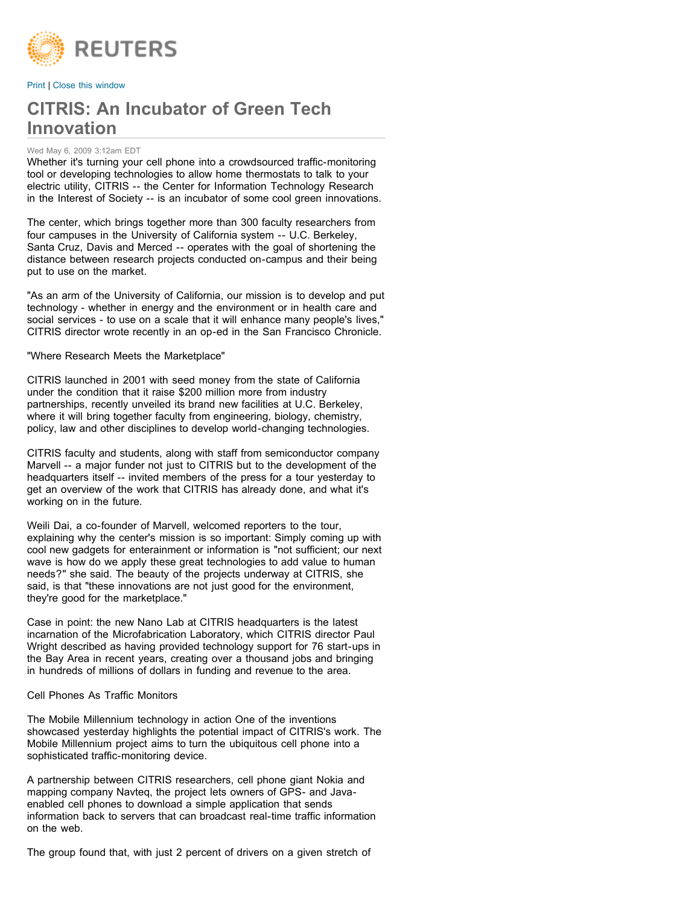

[Print](javascript:window.print();) | [Close this window](javascript:%20window.close();)

# **CITRIS: An Incubator of Green Tech Innovation**

#### Wed May 6, 2009 3:12am EDT

Whether it's turning your cell phone into a crowdsourced traffic-monitoring tool or developing technologies to allow home thermostats to talk to your electric utility, CITRIS -- the Center for Information Technology Research in the Interest of Society -- is an incubator of some cool green innovations.

The center, which brings together more than 300 faculty researchers from four campuses in the University of California system -- U.C. Berkeley, Santa Cruz, Davis and Merced -- operates with the goal of shortening the distance between research projects conducted on-campus and their being put to use on the market.

"As an arm of the University of California, our mission is to develop and put technology - whether in energy and the environment or in health care and social services - to use on a scale that it will enhance many people's lives," CITRIS director wrote recently in an op-ed in the San Francisco Chronicle.

"Where Research Meets the Marketplace"

CITRIS launched in 2001 with seed money from the state of California under the condition that it raise \$200 million more from industry partnerships, recently unveiled its brand new facilities at U.C. Berkeley, where it will bring together faculty from engineering, biology, chemistry, policy, law and other disciplines to develop world-changing technologies.

CITRIS faculty and students, along with staff from semiconductor company Marvell -- a major funder not just to CITRIS but to the development of the headquarters itself -- invited members of the press for a tour yesterday to get an overview of the work that CITRIS has already done, and what it's working on in the future.

Weili Dai, a co-founder of Marvell, welcomed reporters to the tour, explaining why the center's mission is so important: Simply coming up with cool new gadgets for enterainment or information is "not sufficient; our next wave is how do we apply these great technologies to add value to human needs?" she said. The beauty of the projects underway at CITRIS, she said, is that "these innovations are not just good for the environment, they're good for the marketplace."

Case in point: the new Nano Lab at CITRIS headquarters is the latest incarnation of the Microfabrication Laboratory, which CITRIS director Paul Wright described as having provided technology support for 76 start-ups in the Bay Area in recent years, creating over a thousand jobs and bringing in hundreds of millions of dollars in funding and revenue to the area.

Cell Phones As Traffic Monitors

The Mobile Millennium technology in action One of the inventions showcased yesterday highlights the potential impact of CITRIS's work. The Mobile Millennium project aims to turn the ubiquitous cell phone into a sophisticated traffic-monitoring device.

A partnership between CITRIS researchers, cell phone giant Nokia and mapping company Navteq, the project lets owners of GPS- and Javaenabled cell phones to download a simple application that sends information back to servers that can broadcast real-time traffic information on the web.

The group found that, with just 2 percent of drivers on a given stretch of